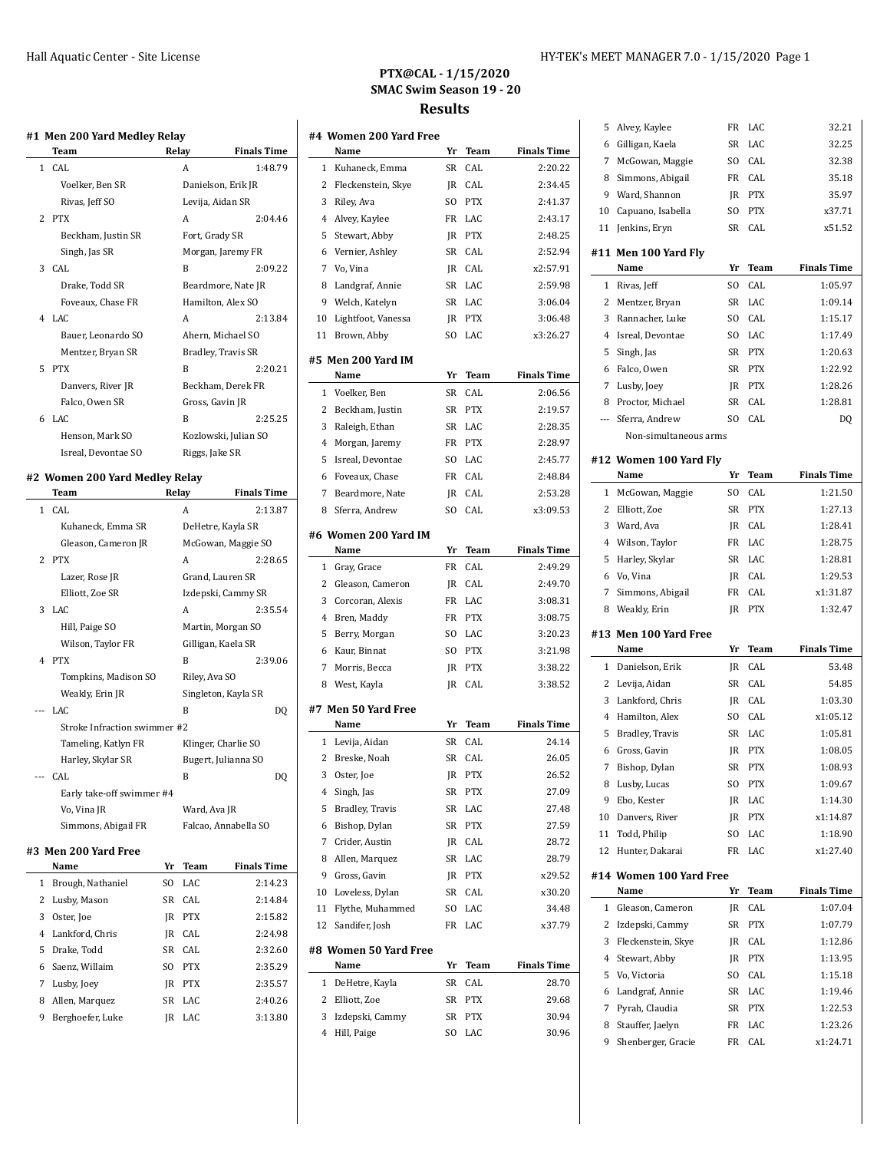# **PTX@CAL - 1/15/2020 SMAC Swim Season 19 - 20 Results**

|              | Team                           | Relay    |                    | <b>Finals Time</b>   |
|--------------|--------------------------------|----------|--------------------|----------------------|
| 1            | CAL                            |          | A                  | 1:48.79              |
|              | Voelker, Ben SR                |          | Danielson, Erik JR |                      |
|              | Rivas, Jeff SO                 |          | Levija, Aidan SR   |                      |
| 2            | <b>PTX</b>                     |          | Α                  | 2:04.46              |
|              | Beckham, Justin SR             |          | Fort, Grady SR     |                      |
|              | Singh, Jas SR                  |          |                    | Morgan, Jaremy FR    |
| 3            | CAL                            |          | B                  | 2:09.22              |
|              | Drake, Todd SR                 |          |                    | Beardmore, Nate JR   |
|              | Foveaux, Chase FR              |          | Hamilton, Alex SO  |                      |
| 4            | LAC                            |          | Α                  | 2:13.84              |
|              | Bauer, Leonardo SO             |          |                    | Ahern, Michael SO    |
|              | Mentzer, Bryan SR              |          | Bradley, Travis SR |                      |
| 5            | <b>PTX</b>                     |          | B                  | 2:20.21              |
|              | Danvers, River JR              |          |                    | Beckham, Derek FR    |
|              | Falco, Owen SR                 |          | Gross, Gavin JR    |                      |
| 6            | LAC                            |          | B                  | 2:25.25              |
|              | Henson, Mark SO                |          |                    | Kozlowski, Julian SO |
|              | Isreal, Devontae SO            |          | Riggs, Jake SR     |                      |
|              |                                |          |                    |                      |
|              | #2 Women 200 Yard Medley Relay |          |                    |                      |
|              | Team                           | Relay    |                    | <b>Finals Time</b>   |
| $\mathbf{1}$ | CAL                            |          | A                  | 2:13.87              |
|              | Kuhaneck, Emma SR              |          | DeHetre, Kayla SR  |                      |
|              | Gleason, Cameron JR            |          |                    | McGowan, Maggie SO   |
| 2            | <b>PTX</b>                     |          | Α                  | 2:28.65              |
|              | Lazer, Rose JR                 |          | Grand, Lauren SR   |                      |
|              | Elliott, Zoe SR                |          |                    | Izdepski, Cammy SR   |
| 3            | LAC                            |          | Α                  | 2:35.54              |
|              | Hill, Paige SO                 |          |                    | Martin, Morgan SO    |
|              | Wilson, Taylor FR              |          | Gilligan, Kaela SR |                      |
| 4            | <b>PTX</b>                     |          | B                  | 2:39.06              |
|              | Tompkins, Madison SO           |          | Riley, Ava SO      |                      |
|              | Weakly, Erin JR                |          |                    | Singleton, Kayla SR  |
|              | LAC                            |          | B                  | DQ                   |
|              | Stroke Infraction swimmer #2   |          |                    |                      |
|              | Tameling, Katlyn FR            |          |                    | Klinger, Charlie SO  |
|              |                                |          |                    | Bugert, Julianna SO  |
|              | Harley, Skylar SR              |          |                    |                      |
|              | CAL                            |          | B                  | DQ                   |
|              | Early take-off swimmer #4      |          |                    |                      |
|              | Vo, Vina JR                    |          | Ward, Ava JR       |                      |
|              | Simmons, Abigail FR            |          |                    | Falcao, Annabella SO |
|              | #3 Men 200 Yard Free           |          |                    |                      |
|              | Name                           | Yr       | Team               | <b>Finals Time</b>   |
| 1            | Brough, Nathaniel              | SO.      | LAC                | 2:14.23              |
| 2            | Lusby, Mason                   | SR       | CAL                | 2:14.84              |
| 3            | Oster, Joe                     | JR       | <b>PTX</b>         | 2:15.82              |
| 4            | Lankford, Chris                | JR       | CAL                | 2:24.98              |
| 5            | Drake, Todd                    | SR       | CAL                | 2:32.60              |
| 6            | Saenz, Willaim                 | SO       | <b>PTX</b>         | 2:35.29              |
|              |                                |          |                    |                      |
|              |                                |          |                    |                      |
| 7<br>8       | Lusby, Joey<br>Allen, Marquez  | JR<br>SR | <b>PTX</b><br>LAC  | 2:35.57<br>2:40.26   |

|                | #4 Women 200 Yard Free        |                |             |                    |
|----------------|-------------------------------|----------------|-------------|--------------------|
|                | Name                          | Yr             | Team        | <b>Finals Time</b> |
| 1              | Kuhaneck, Emma                | SR             | CAL         | 2:20.22            |
| 2              | Fleckenstein, Skye            | JR             | CAL         | 2:34.45            |
| 3              | Riley, Ava                    | SO.            | <b>PTX</b>  | 2:41.37            |
| 4              | Alvey, Kaylee                 | FR             | LAC         | 2:43.17            |
| 5              | Stewart, Abby                 | JR             | <b>PTX</b>  | 2:48.25            |
| 6              | Vernier, Ashley               | SR             | CAL         | 2:52.94            |
| 7              | Vo, Vina                      | JR             | CAL         | x2:57.91           |
| 8              | Landgraf, Annie               | SR             | LAC         | 2:59.98            |
| 9              | Welch, Katelyn                | SR             | LAC         | 3:06.04            |
| 10             | Lightfoot, Vanessa            | JR             | <b>PTX</b>  | 3:06.48            |
| 11             | Brown, Abby                   | SO.            | LAC         | x3:26.27           |
|                | #5 Men 200 Yard IM            |                |             |                    |
|                | Name                          | Yr             | <b>Team</b> | <b>Finals Time</b> |
| $\mathbf{1}$   | Voelker, Ben                  | SR             | CAL         | 2:06.56            |
| 2              | Beckham, Justin               | SR             | <b>PTX</b>  | 2:19.57            |
| 3              | Raleigh, Ethan                | SR             | LAC         | 2:28.35            |
| 4              | Morgan, Jaremy                | FR             | <b>PTX</b>  | 2:28.97            |
| 5              | Isreal, Devontae              | SO.            | LAC         | 2:45.77            |
| 6              | Foveaux, Chase                | FR             | CAL         | 2:48.84            |
| 7              | Beardmore, Nate               | JR             | CAL         | 2:53.28            |
| 8              | Sferra, Andrew                | SO.            | CAL         | x3:09.53           |
|                |                               |                |             |                    |
|                | #6 Women 200 Yard IM          |                |             |                    |
|                | Name                          | Yr             | Team        | <b>Finals Time</b> |
| 1              | Gray, Grace                   | FR             | CAL         | 2:49.29            |
| 2              | Gleason, Cameron              | JR             | CAL         | 2:49.70            |
| 3              | Corcoran, Alexis              | FR             | LAC         | 3:08.31            |
| 4              | Bren, Maddy                   | FR             | <b>PTX</b>  | 3:08.75            |
| 5              | Berry, Morgan                 | SO.            | LAC         | 3:20.23            |
| 6              | Kaur, Binnat                  | S <sub>O</sub> | <b>PTX</b>  | 3:21.98            |
| 7              | Morris, Becca                 | JR             | <b>PTX</b>  | 3:38.22            |
| 8              | West, Kayla                   | JR             | CAL         | 3:38.52            |
|                | #7 Men 50 Yard Free           |                |             |                    |
|                | Name                          | Yr             | Team        | <b>Finals Time</b> |
| 1              | Levija, Aidan                 | SR             | CAL         | 24.14              |
| 2              | Breske, Noah                  | SR             | CAL         | 26.05              |
| 3              | Oster, Joe                    | JR             | <b>PTX</b>  | 26.52              |
| 4              | Singh, Jas                    | SR             | <b>PTX</b>  | 27.09              |
| 5              | Bradley, Travis               | SR             | LAC         | 27.48              |
| 6              | Bishop, Dylan                 | SR             | <b>PTX</b>  | 27.59              |
| 7              | Crider, Austin                | JR             | CAL         | 28.72              |
| 8              | Allen, Marquez                | SR             | LAC         | 28.79              |
| 9              | Gross, Gavin                  | JR             | <b>PTX</b>  | x29.52             |
| 10             | Loveless, Dylan               | SR             | CAL         | x30.20             |
| 11             | Flythe, Muhammed              | SO             | LAC         | 34.48              |
| 12             | Sandifer, Josh                | FR             | LAC         | x37.79             |
|                |                               |                |             |                    |
|                | #8 Women 50 Yard Free<br>Name | Yr             | Team        | <b>Finals Time</b> |
| 1              | DeHetre, Kayla                | SR             | CAL         | 28.70              |
| 2              | Elliott, Zoe                  | SR             | <b>PTX</b>  | 29.68              |
| 3              | Izdepski, Cammy               | SR             | <b>PTX</b>  | 30.94              |
| $\overline{4}$ | Hill, Paige                   | SO             | LAC         | 30.96              |
|                |                               |                |             |                    |

 $\overline{a}$ 

 $\overline{a}$ 

| 5              | Alvey, Kaylee                   | FR        | LAC        | 32.21              |
|----------------|---------------------------------|-----------|------------|--------------------|
| 6              | Gilligan, Kaela                 | SR        | LAC        | 32.25              |
| 7              | McGowan, Maggie                 | SO        | CAL        | 32.38              |
| 8              | Simmons, Abigail                | FR        | CAL        | 35.18              |
| 9              | Ward, Shannon                   | JR        | <b>PTX</b> | 35.97              |
| 10             | Capuano, Isabella               | SO        | <b>PTX</b> | x37.71             |
| 11             | Jenkins, Eryn                   | SR        | CAL        | x51.52             |
|                |                                 |           |            |                    |
|                | #11 Men 100 Yard Fly<br>Name    | Yr        | Team       | <b>Finals Time</b> |
| 1              | Rivas, Jeff                     | SO.       | CAL        | 1:05.97            |
| 2              | Mentzer, Bryan                  | <b>SR</b> | LAC        | 1:09.14            |
| 3              | Rannacher, Luke                 | SO        | CAL        | 1:15.17            |
| 4              | Isreal, Devontae                | SO.       | LAC        | 1:17.49            |
| 5              | Singh, Jas                      | SR        | <b>PTX</b> | 1:20.63            |
| 6              | Falco, Owen                     | SR        | <b>PTX</b> | 1:22.92            |
| 7              | Lusby, Joey                     | JR        | <b>PTX</b> | 1:28.26            |
| 8              | Proctor, Michael                | SR        | CAL        | 1:28.81            |
| ---            | Sferra, Andrew                  | SO.       | CAL        | D <sub>0</sub>     |
|                | Non-simultaneous arms           |           |            |                    |
|                |                                 |           |            |                    |
|                | #12 Women 100 Yard Fly          |           |            |                    |
|                | Name                            | Yr        | Team       | <b>Finals Time</b> |
| 1              | McGowan, Maggie                 | SO.       | CAL        | 1:21.50            |
| 2              | Elliott, Zoe                    | SR        | <b>PTX</b> | 1:27.13            |
| 3              | Ward, Ava                       | JR        | CAL        | 1:28.41            |
| 4              | Wilson, Taylor                  | FR        | LAC        | 1:28.75            |
| 5              | Harley, Skylar                  | SR        | LAC        | 1:28.81            |
| 6              | Vo, Vina                        | JR        | CAL        | 1:29.53            |
|                | Simmons, Abigail                |           |            |                    |
| 7              |                                 | FR        | CAL        | x1:31.87           |
| 8              | Weakly, Erin                    | JR        | <b>PTX</b> | 1:32.47            |
|                | #13 Men 100 Yard Free           |           |            |                    |
|                | Name                            | Yr        | Team       | <b>Finals Time</b> |
| 1              | Danielson, Erik                 | JR        | CAL        | 53.48              |
| 2              | Levija, Aidan                   | SR        | CAL        | 54.85              |
| 3              | Lankford, Chris                 | JR        | CAL        | 1:03.30            |
| 4              | Hamilton, Alex                  | SO.       | CAL        | x1:05.12           |
| 5              | Bradley, Travis                 | SR        | LAC        | 1:05.81            |
| 6              | Gross, Gavin                    | JR        | <b>PTX</b> | 1:08.05            |
| 7              | Bishop, Dylan                   | SR        | <b>PTX</b> | 1:08.93            |
| 8              | Lusby, Lucas                    | SO.       | <b>PTX</b> | 1:09.67            |
| 9              | Ebo, Kester                     | JR        | LAC        | 1:14.30            |
| 10             | Danvers, River                  | JR        | <b>PTX</b> | x1:14.87           |
| 11             | Todd, Philip                    | SO        | LAC        | 1:18.90            |
| 12             | Hunter, Dakarai                 | FR        | LAC        | x1:27.40           |
|                |                                 |           |            |                    |
|                | #14 Women 100 Yard Free<br>Name | Yr        | Team       | <b>Finals Time</b> |
| 1              | Gleason, Cameron                | JR        | CAL        | 1:07.04            |
| 2              | Izdepski, Cammy                 | SR        | PTX        | 1:07.79            |
| 3              | Fleckenstein, Skye              | JR        | CAL        | 1:12.86            |
| $\overline{4}$ | Stewart, Abby                   | JR        | <b>PTX</b> | 1:13.95            |
| 5              | Vo, Victoria                    | SO        | CAL        | 1:15.18            |
| 6              | Landgraf, Annie                 | SR        | LAC        | 1:19.46            |
| 7              | Pyrah, Claudia                  | SR        | <b>PTX</b> | 1:22.53            |
| 8              | Stauffer, Jaelyn                | FR        | LAC        | 1:23.26            |
| 9              | Shenberger, Gracie              | FR        | CAL        | x1:24.71           |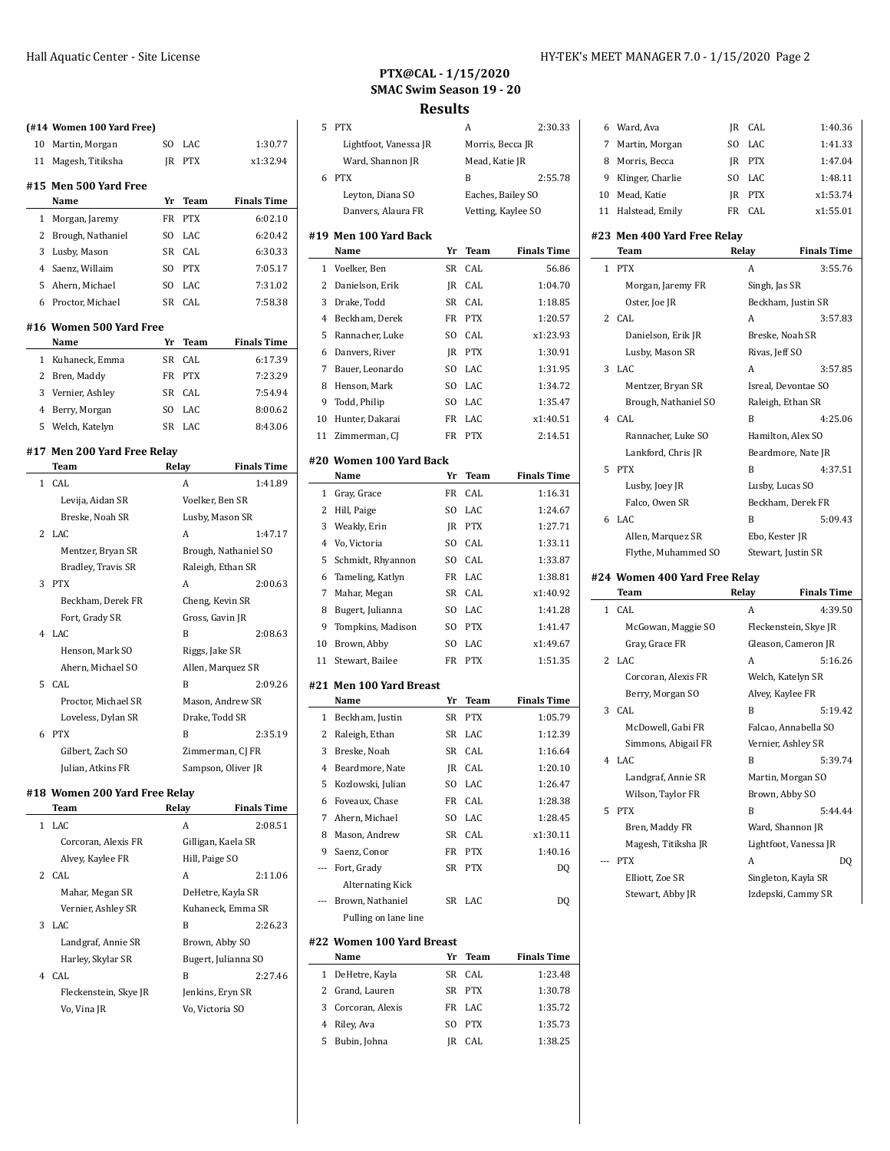| HY-TEK's MEET MANAGER 7.0 - 1/15/2020 Page 2 |  |  |
|----------------------------------------------|--|--|
|----------------------------------------------|--|--|

# **PTX@CAL - 1/15/2020 SMAC Swim Season 19 - 20**

#### **Results**

|   | (#14 Women 100 Yard Free)     |     |                 |                      |                    |          | 5 PTX                           |     | Α              | 2:30.33            |
|---|-------------------------------|-----|-----------------|----------------------|--------------------|----------|---------------------------------|-----|----------------|--------------------|
|   | 10 Martin, Morgan             | SO  | LAC             |                      | 1:30.77            |          | Lightfoot, Vanessa JR           |     |                | Morris, Becca JR   |
|   | 11 Magesh, Titiksha           |     | JR PTX          |                      | x1:32.94           |          | Ward, Shannon JR                |     | Mead, Katie JR |                    |
|   | #15 Men 500 Yard Free         |     |                 |                      |                    |          | 6 PTX                           |     | B              | 2:55.78            |
|   | Name                          | Yr  | <b>Team</b>     |                      | <b>Finals Time</b> |          | Leyton, Diana SO                |     |                | Eaches, Bailey SO  |
|   | 1 Morgan, Jaremy              | FR  | <b>PTX</b>      |                      | 6:02.10            |          | Danvers, Alaura FR              |     |                | Vetting, Kaylee SO |
|   | 2 Brough, Nathaniel           | SO. | LAC             |                      | 6:20.42            |          | #19 Men 100 Yard Back           |     |                |                    |
|   | 3 Lusby, Mason                |     | SR CAL          |                      | 6:30.33            |          | Name                            | Yr  | Team           | <b>Finals Time</b> |
| 4 | Saenz, Willaim                | SO  | <b>PTX</b>      |                      | 7:05.17            |          | 1 Voelker, Ben                  | SR  | CAL            | 56.86              |
|   | 5 Ahern, Michael              | SO  | LAC             |                      | 7:31.02            |          | 2 Danielson, Erik               |     | JR CAL         | 1:04.70            |
|   | 6 Proctor, Michael            |     | SR CAL          |                      | 7:58.38            | 3        | Drake, Todd                     |     | SR CAL         | 1:18.85            |
|   |                               |     |                 |                      |                    | 4        | Beckham, Derek                  |     | FR PTX         | 1:20.57            |
|   | #16 Women 500 Yard Free       |     |                 |                      |                    | 5        | Rannacher, Luke                 | SO. | CAL            | x1:23.93           |
|   | Name                          | Yr  | Team            |                      | <b>Finals Time</b> |          | 6 Danvers, River                |     | JR PTX         | 1:30.91            |
|   | 1 Kuhaneck, Emma              | SR  | CAL             |                      | 6:17.39            | 7        | Bauer, Leonardo                 | SO  | LAC            | 1:31.95            |
|   | 2 Bren, Maddy                 |     | FR PTX          |                      | 7:23.29            | 8        | Henson, Mark                    | SO. | LAC            | 1:34.72            |
|   | 3 Vernier, Ashley             | SR  | CAL             |                      | 7:54.94            | 9        | Todd, Philip                    | SO. | LAC            | 1:35.47            |
|   | 4 Berry, Morgan               | SO  | LAC             |                      | 8:00.62            | 10       | Hunter, Dakarai                 |     | FR LAC         | x1:40.51           |
|   | 5 Welch, Katelyn              |     | SR LAC          |                      | 8:43.06            |          | 11 Zimmerman, CJ                |     | FR PTX         | 2:14.51            |
|   | #17 Men 200 Yard Free Relay   |     |                 |                      |                    |          |                                 |     |                |                    |
|   | Team                          |     | Relay           |                      | <b>Finals Time</b> |          | #20 Women 100 Yard Back         |     |                |                    |
|   | 1 CAL                         |     | Α               |                      | 1:41.89            |          | Name                            | Yr  | Team           | <b>Finals Time</b> |
|   | Levija, Aidan SR              |     |                 | Voelker, Ben SR      |                    |          | 1 Gray, Grace                   | FR  | CAL            | 1:16.31            |
|   | Breske, Noah SR               |     |                 | Lusby, Mason SR      |                    |          | 2 Hill, Paige                   | SO. | LAC            | 1:24.67            |
|   | 2 LAC                         |     | A               |                      | 1:47.17            | 3        | Weakly, Erin                    |     | JR PTX         | 1:27.71            |
|   | Mentzer, Bryan SR             |     |                 | Brough, Nathaniel SO |                    | 4        | Vo, Victoria                    | SO  | CAL            | 1:33.11            |
|   | Bradley, Travis SR            |     |                 | Raleigh, Ethan SR    |                    | 5        | Schmidt, Rhyannon               | SO. | CAL            | 1:33.87            |
|   | 3 PTX                         |     | Α               |                      | 2:00.63            | 6        | Tameling, Katlyn                |     | FR LAC         | 1:38.81            |
|   | Beckham, Derek FR             |     |                 | Cheng, Kevin SR      |                    | 7        | Mahar, Megan                    | SR  | CAL            | x1:40.92           |
|   | Fort, Grady SR                |     | Gross, Gavin JR |                      |                    | 8        | Bugert, Julianna                | SO. | LAC            | 1:41.28            |
|   | 4 LAC                         |     | B               |                      | 2:08.63            | 9        | Tompkins, Madison               | SO. | <b>PTX</b>     | 1:41.47            |
|   | Henson, Mark SO               |     |                 |                      |                    | 10       | Brown, Abby                     | SO  | LAC            | x1:49.67           |
|   | Ahern, Michael SO             |     | Riggs, Jake SR  | Allen, Marquez SR    |                    |          | 11 Stewart, Bailee              |     | FR PTX         | 1:51.35            |
|   | 5 CAL                         |     | B               |                      | 2:09.26            |          |                                 |     |                |                    |
|   | Proctor, Michael SR           |     |                 | Mason, Andrew SR     |                    |          | #21 Men 100 Yard Breast<br>Name | Yr  | Team           | <b>Finals Time</b> |
|   | Loveless, Dylan SR            |     | Drake, Todd SR  |                      |                    |          | 1 Beckham, Justin               |     | SR PTX         | 1:05.79            |
|   | 6 PTX                         |     | B               |                      | 2:35.19            |          | Raleigh, Ethan                  |     | SR LAC         | 1:12.39            |
|   |                               |     |                 |                      |                    | 2        |                                 |     |                |                    |
|   | Gilbert, Zach SO              |     |                 | Zimmerman, CJ FR     |                    |          | 3 Breske, Noah                  |     | SR CAL         | 1:16.64            |
|   | Julian, Atkins FR             |     |                 | Sampson, Oliver JR   |                    |          | 4 Beardmore, Nate               |     | JR CAL         | 1:20.10            |
|   | #18 Women 200 Yard Free Relay |     |                 |                      |                    |          | 5 Kozlowski, Julian             |     | SO LAC         | 1:26.47            |
|   | Team                          |     | Relay           |                      | <b>Finals Time</b> |          | 6 Foveaux, Chase                |     | FR CAL         | 1:28.38            |
|   | 1 LAC                         |     | A               |                      | 2:08.51            | 7        | Ahern, Michael                  |     | SO LAC         | 1:28.45            |
|   | Corcoran, Alexis FR           |     |                 | Gilligan, Kaela SR   |                    | 8        | Mason, Andrew                   |     | SR CAL         | x1:30.11           |
|   | Alvey, Kaylee FR              |     | Hill, Paige SO  |                      |                    | 9        | Saenz, Conor                    |     | FR PTX         | 1:40.16            |
|   | 2 CAL                         |     | A               |                      | 2:11.06            | $\cdots$ | Fort, Grady                     |     | SR PTX         | DQ                 |
|   | Mahar, Megan SR               |     |                 | DeHetre, Kayla SR    |                    |          | <b>Alternating Kick</b>         |     |                |                    |
|   | Vernier, Ashley SR            |     |                 | Kuhaneck, Emma SR    |                    |          | --- Brown, Nathaniel            |     | SR LAC         | DQ                 |
|   | 3 LAC                         |     | B               |                      | 2:26.23            |          | Pulling on lane line            |     |                |                    |
|   | Landgraf, Annie SR            |     |                 | Brown, Abby SO       |                    |          | #22 Women 100 Yard Breast       |     |                |                    |
|   | Harley, Skylar SR             |     |                 | Bugert, Julianna SO  |                    |          | Name                            |     | Yr Team        | <b>Finals Time</b> |

B 2:27.46

| 4 | CAL. |  |
|---|------|--|

Fleckenstein, Skye JR Jenkins, Eryn SR Vo, Vina JR Vo, Victoria SO

| 3              | Drake, Todd                       | SR        | CAL        | 1:18.85            |                |
|----------------|-----------------------------------|-----------|------------|--------------------|----------------|
| 4              | Beckham, Derek                    | FR        | <b>PTX</b> | 1:20.57            | 2              |
| 5              | Rannacher, Luke                   | SO.       | CAL        | x1:23.93           |                |
| 6              | Danvers, River                    | JR        | <b>PTX</b> | 1:30.91            |                |
| 7              | Bauer, Leonardo                   | SO.       | LAC        | 1:31.95            | 3              |
| 8              | Henson, Mark                      | SO.       | LAC        | 1:34.72            |                |
| 9              | Todd, Philip                      | SO.       | LAC        | 1:35.47            |                |
| 10             | Hunter, Dakarai                   | FR        | LAC        | x1:40.51           | 4              |
| 11             | Zimmerman, CJ                     | FR        | <b>PTX</b> | 2:14.51            |                |
|                | #20 Women 100 Yard Back           |           |            |                    |                |
|                | Name                              | Yr        | Team       | <b>Finals Time</b> | 5              |
| 1              | Gray, Grace                       | <b>FR</b> | CAL        | 1:16.31            |                |
| 2              | Hill, Paige                       | SO.       | LAC        | 1:24.67            |                |
| 3              | Weakly, Erin                      | JR        | <b>PTX</b> | 1:27.71            | 6              |
| 4              | Vo, Victoria                      | SO.       | CAL        | 1:33.11            |                |
| 5              | Schmidt, Rhyannon                 | SO        | CAL        | 1:33.87            |                |
| 6              | Tameling, Katlyn                  | FR        | LAC        | 1:38.81            | #24 $^{\circ}$ |
| 7              | Mahar, Megan                      | SR        | CAL        | x1:40.92           |                |
| 8              | Bugert, Julianna                  | SO.       | LAC        | 1:41.28            | 1              |
| 9              | Tompkins, Madison                 | SO        | <b>PTX</b> | 1:41.47            |                |
| 10             | Brown, Abby                       | SO        | LAC        | x1:49.67           |                |
| 11             | Stewart, Bailee                   | FR        | <b>PTX</b> | 1:51.35            | 2              |
|                | #21 Men 100 Yard Breast           |           |            |                    |                |
|                |                                   |           |            |                    |                |
|                | Name                              | Yr        | Team       | <b>Finals Time</b> |                |
| 1              | Beckham, Justin                   | SR        | <b>PTX</b> | 1:05.79            | 3              |
| 2              | Raleigh, Ethan                    | SR        | LAC        | 1:12.39            |                |
| 3              | Breske, Noah                      | SR        | CAL        | 1:16.64            |                |
| 4              | Beardmore, Nate                   | JR        | CAL        | 1:20.10            | 4              |
| 5              | Kozlowski, Julian                 | SO        | LAC        | 1:26.47            |                |
| 6              | Foveaux, Chase                    | FR        | CAL        | 1:28.38            |                |
| 7              | Ahern, Michael                    | SO        | LAC        | 1:28.45            | 5              |
| 8              | Mason, Andrew                     | SR        | CAL        | x1:30.11           |                |
| 9              | Saenz, Conor                      | FR        | <b>PTX</b> | 1:40.16            |                |
| ---            | Fort, Grady                       | SR        | <b>PTX</b> | DQ                 |                |
|                | Alternating Kick                  |           |            |                    |                |
| ---            | Brown, Nathaniel                  | SR        | LAC        | D <sub>0</sub>     |                |
|                | Pulling on lane line              |           |            |                    |                |
|                |                                   |           |            |                    |                |
|                | #22 Women 100 Yard Breast<br>Name | Yr        | Team       | <b>Finals Time</b> |                |
| 1              | DeHetre, Kayla                    | SR        | CAL        | 1:23.48            |                |
| $\overline{c}$ | Grand, Lauren                     | SR        | PTX        | 1:30.78            |                |
| 3              | Corcoran, Alexis                  | FR        | LAC        | 1:35.72            |                |
| 4              | Riley, Ava                        | SO.       | PTX        | 1:35.73            |                |
| 5              | Bubin, Johna                      | JR        | CAL        | 1:38.25            |                |

|    | 6 Ward, Ava        | IR  | CAL        | 1:40.36  |
|----|--------------------|-----|------------|----------|
| 7  | Martin, Morgan     | SO. | LAC.       | 1:41.33  |
| 8  | Morris, Becca      | IR  | PTX        | 1:47.04  |
| 9  | Klinger, Charlie   | SO. | LAC.       | 1:48.11  |
| 10 | Mead, Katie        | IR  | <b>PTX</b> | x1:53.74 |
|    | 11 Halstead, Emily | FR  | CAL.       | x1:55.01 |

#### **#23 Men 400 Yard Free Relay**

|              | Team                          | Relay          | <b>Finals Time</b>    |
|--------------|-------------------------------|----------------|-----------------------|
| $\mathbf{1}$ | <b>PTX</b>                    | A              | 3:55.76               |
|              | Morgan, Jaremy FR             | Singh, Jas SR  |                       |
|              | Oster, Joe JR                 |                | Beckham, Justin SR    |
| 2            | CAL                           | Α              | 3:57.83               |
|              | Danielson, Erik JR            |                | Breske, Noah SR       |
|              | Lusby, Mason SR               | Rivas, Jeff SO |                       |
| 3            | LAC                           | A              | 3:57.85               |
|              | Mentzer, Bryan SR             |                | Isreal, Devontae SO   |
|              | Brough, Nathaniel SO          |                | Raleigh, Ethan SR     |
| 4            | CAL                           | B              | 4:25.06               |
|              | Rannacher, Luke SO            |                | Hamilton, Alex SO     |
|              | Lankford, Chris JR            |                | Beardmore, Nate JR    |
| 5            | <b>PTX</b>                    | B              | 4:37.51               |
|              | Lusby, Joey JR                |                | Lusby, Lucas SO       |
|              | Falco, Owen SR                |                | Beckham, Derek FR     |
| 6            | LAC                           | B              | 5:09.43               |
|              | Allen, Marquez SR             | Ebo, Kester JR |                       |
|              | Flythe, Muhammed SO           |                | Stewart, Justin SR    |
|              | #24 Women 400 Yard Free Relay |                |                       |
|              |                               |                |                       |
|              | Team                          | Relay          | <b>Finals Time</b>    |
| 1            | CAL.                          | A              | 4:39.50               |
|              | McGowan, Maggie SO            |                | Fleckenstein, Skye JR |
|              | Gray, Grace FR                |                | Gleason, Cameron JR   |
| 2            | LAC                           | A              | 5:16.26               |
|              | Corcoran, Alexis FR           |                | Welch, Katelyn SR     |
|              | Berry, Morgan SO              |                | Alvey, Kaylee FR      |
| 3            | CAL                           | B              | 5:19.42               |
|              | McDowell, Gabi FR             |                | Falcao, Annabella SO  |
|              | Simmons, Abigail FR           |                | Vernier, Ashley SR    |
| 4            | LAC                           | B              | 5:39.74               |
|              | Landgraf, Annie SR            |                | Martin, Morgan SO     |
|              | Wilson, Taylor FR             |                | Brown, Abby SO        |
| 5            | <b>PTX</b>                    | B              | 5:44.44               |
|              | Bren, Maddy FR                |                | Ward, Shannon JR      |
|              | Magesh, Titiksha JR           |                | Lightfoot, Vanessa JR |
|              | <b>PTX</b>                    | A              | DQ                    |
|              | Elliott, Zoe SR               |                | Singleton, Kayla SR   |
|              | Stewart, Abby JR              |                | Izdepski, Cammy SR    |